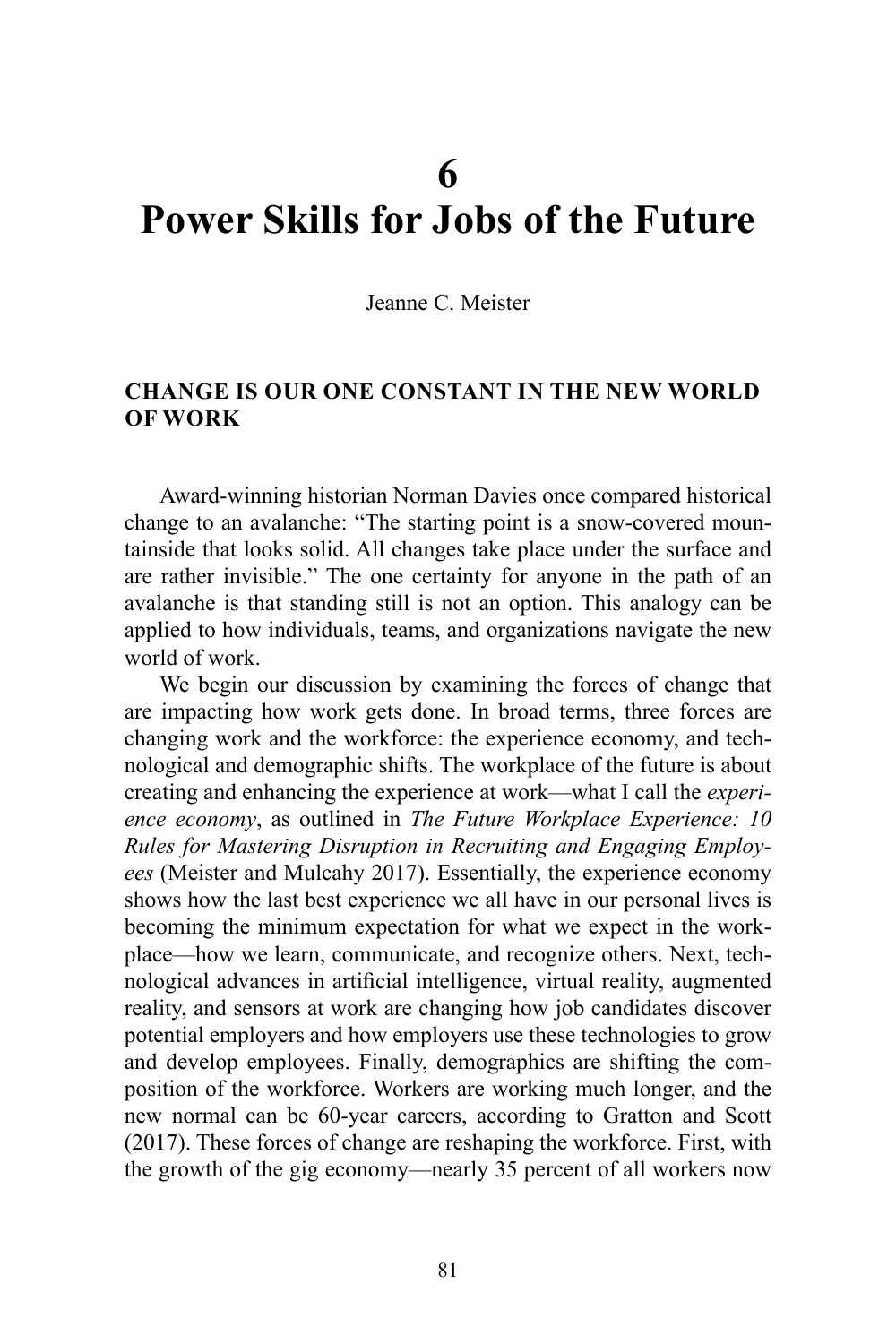# **6 Power Skills for Jobs of the Future**

Jeanne C. Meister

## **CHANGE IS OUR ONE CONSTANT IN THE NEW WORLD OF WORK**

Award-winning historian Norman Davies once compared historical change to an avalanche: "The starting point is a snow-covered mountainside that looks solid. All changes take place under the surface and are rather invisible." The one certainty for anyone in the path of an avalanche is that standing still is not an option. This analogy can be applied to how individuals, teams, and organizations navigate the new world of work.

We begin our discussion by examining the forces of change that are impacting how work gets done. In broad terms, three forces are changing work and the workforce: the experience economy, and technological and demographic shifts. The workplace of the future is about creating and enhancing the experience at work—what I call the *experience economy*, as outlined in *The Future Workplace Experience: 10 Rules for Mastering Disruption in Recruiting and Engaging Employees* (Meister and Mulcahy 2017). Essentially, the experience economy shows how the last best experience we all have in our personal lives is becoming the minimum expectation for what we expect in the workplace—how we learn, communicate, and recognize others. Next, technological advances in artificial intelligence, virtual reality, augmented reality, and sensors at work are changing how job candidates discover potential employers and how employers use these technologies to grow and develop employees. Finally, demographics are shifting the composition of the workforce. Workers are working much longer, and the new normal can be 60-year careers, according to Gratton and Scott (2017). These forces of change are reshaping the workforce. First, with the growth of the gig economy—nearly 35 percent of all workers now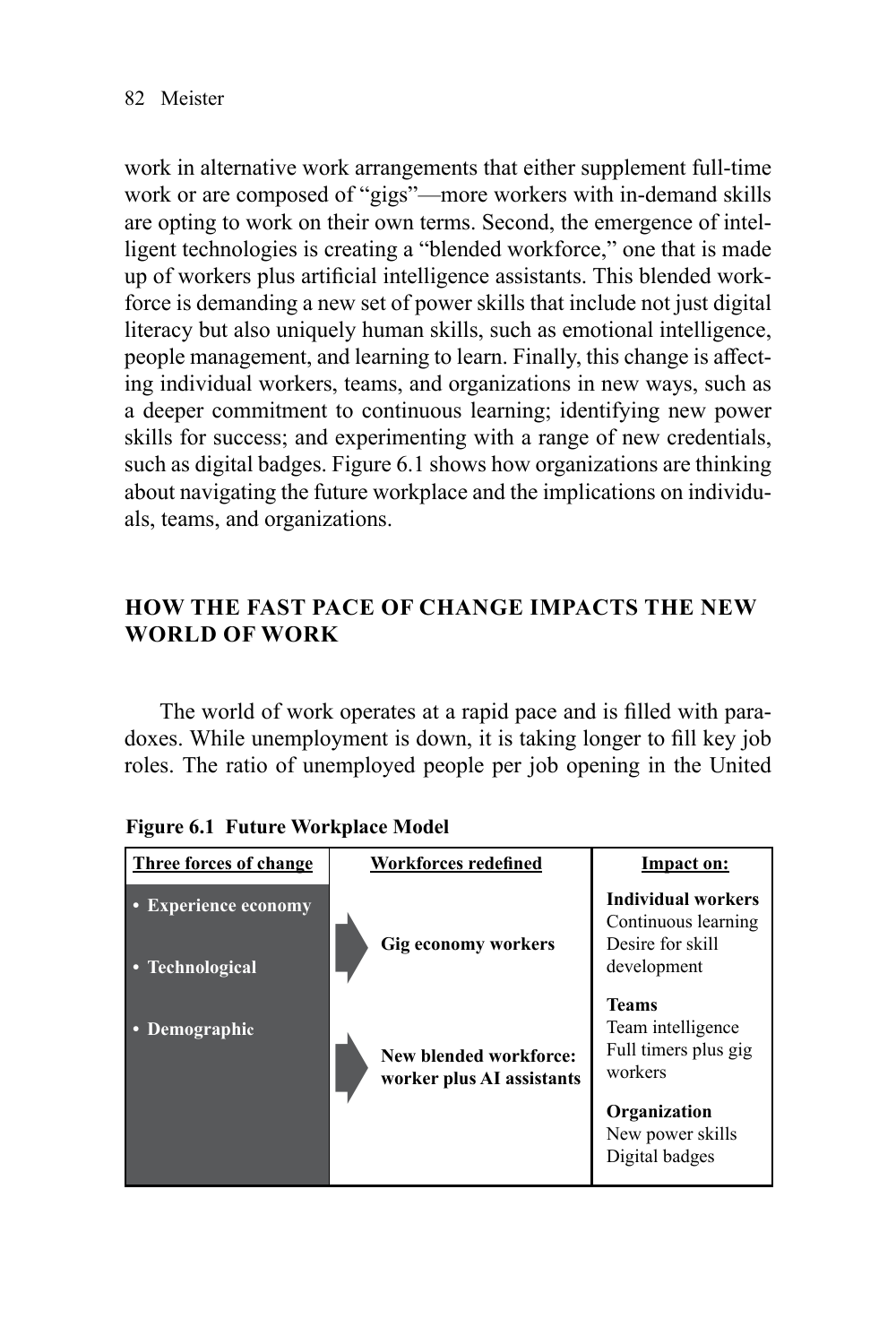work in alternative work arrangements that either supplement full-time work or are composed of "gigs"—more workers with in-demand skills are opting to work on their own terms. Second, the emergence of intelligent technologies is creating a "blended workforce," one that is made up of workers plus artificial intelligence assistants. This blended workforce is demanding a new set of power skills that include not just digital literacy but also uniquely human skills, such as emotional intelligence, people management, and learning to learn. Finally, this change is affecting individual workers, teams, and organizations in new ways, such as a deeper commitment to continuous learning; identifying new power skills for success; and experimenting with a range of new credentials, such as digital badges. Figure 6.1 shows how organizations are thinking about navigating the future workplace and the implications on individuals, teams, and organizations.

# **HOW THE FAST PACE OF CHANGE IMPACTS THE NEW WORLD OF WORK**

The world of work operates at a rapid pace and is filled with paradoxes. While unemployment is down, it is taking longer to fill key job roles. The ratio of unemployed people per job opening in the United

| Three forces of change                       | <b>Workforces redefined</b>                         | Impact on:                                                                                                          |
|----------------------------------------------|-----------------------------------------------------|---------------------------------------------------------------------------------------------------------------------|
| <b>Experience economy</b><br>• Technological | <b>Gig economy workers</b>                          | Individual workers<br>Continuous learning<br>Desire for skill<br>development                                        |
| • Demographic                                | New blended workforce:<br>worker plus AI assistants | Teams<br>Team intelligence<br>Full timers plus gig<br>workers<br>Organization<br>New power skills<br>Digital badges |

**Figure 6.1 Future Workplace Model**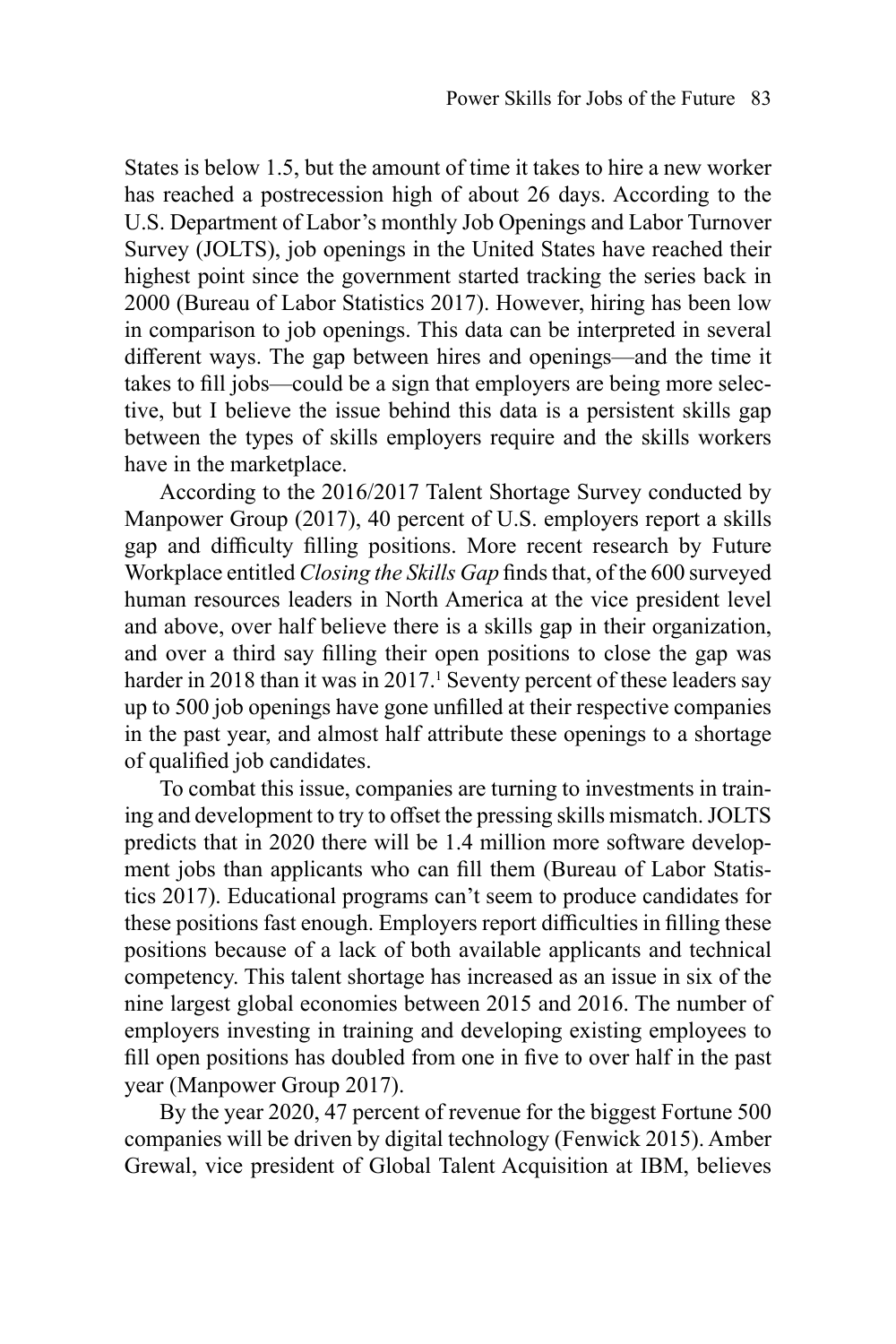States is below 1.5, but the amount of time it takes to hire a new worker has reached a postrecession high of about 26 days. According to the U.S. Department of Labor's monthly Job Openings and Labor Turnover Survey (JOLTS), job openings in the United States have reached their highest point since the government started tracking the series back in 2000 (Bureau of Labor Statistics 2017). However, hiring has been low in comparison to job openings. This data can be interpreted in several different ways. The gap between hires and openings—and the time it takes to fill jobs—could be a sign that employers are being more selective, but I believe the issue behind this data is a persistent skills gap between the types of skills employers require and the skills workers have in the marketplace.

According to the 2016/2017 Talent Shortage Survey conducted by Manpower Group (2017), 40 percent of U.S. employers report a skills gap and difficulty filling positions. More recent research by Future Workplace entitled *Closing the Skills Gap* finds that, of the 600 surveyed human resources leaders in North America at the vice president level and above, over half believe there is a skills gap in their organization, and over a third say filling their open positions to close the gap was harder in 2018 than it was in 2017.<sup>1</sup> Seventy percent of these leaders say up to 500 job openings have gone unfilled at their respective companies in the past year, and almost half attribute these openings to a shortage of qualified job candidates.

To combat this issue, companies are turning to investments in training and development to try to offset the pressing skills mismatch. JOLTS predicts that in 2020 there will be 1.4 million more software development jobs than applicants who can fill them (Bureau of Labor Statistics 2017). Educational programs can't seem to produce candidates for these positions fast enough. Employers report difficulties in filling these positions because of a lack of both available applicants and technical competency. This talent shortage has increased as an issue in six of the nine largest global economies between 2015 and 2016. The number of employers investing in training and developing existing employees to fill open positions has doubled from one in five to over half in the past year (Manpower Group 2017).

By the year 2020, 47 percent of revenue for the biggest Fortune 500 companies will be driven by digital technology (Fenwick 2015). Amber Grewal, vice president of Global Talent Acquisition at IBM, believes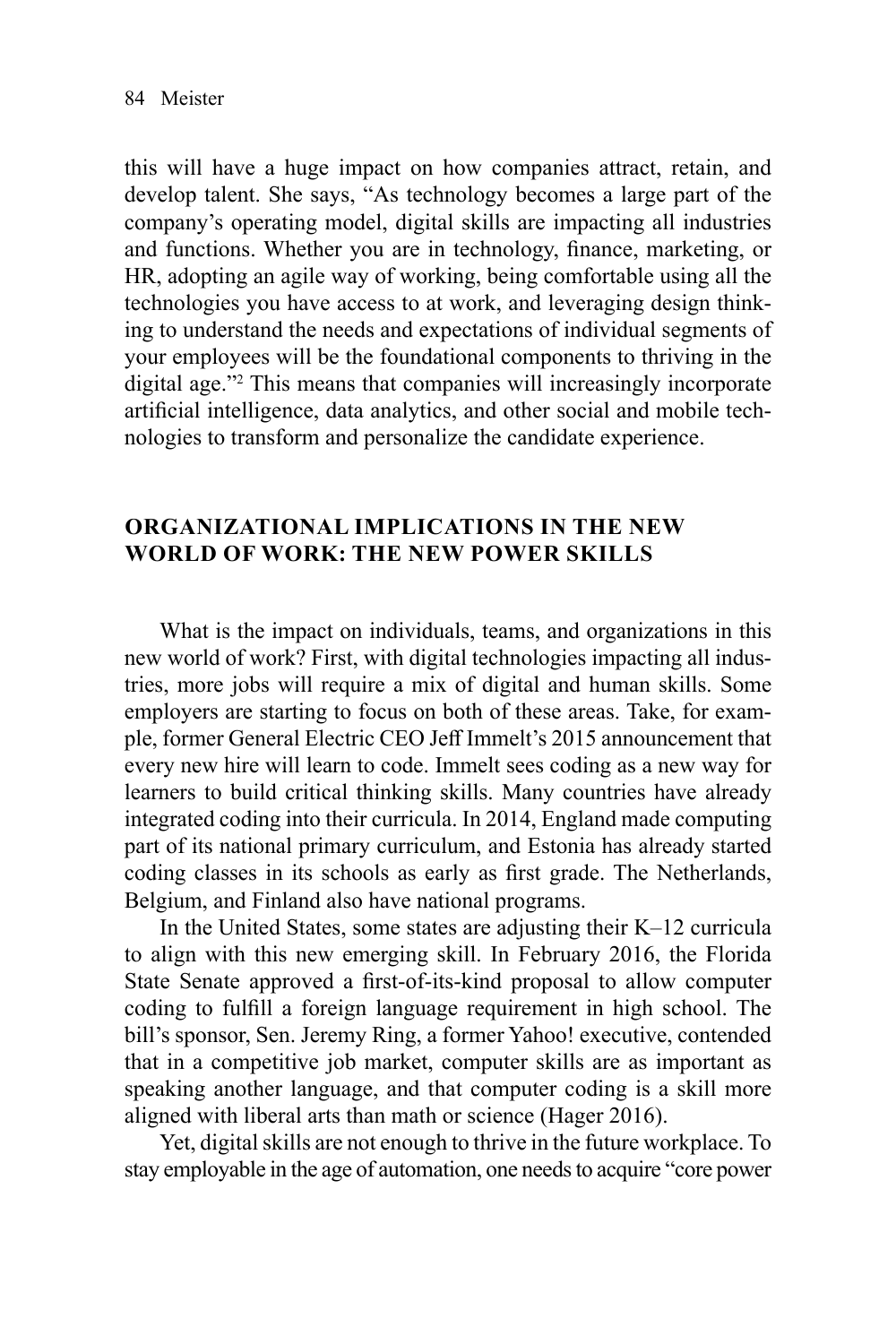this will have a huge impact on how companies attract, retain, and develop talent. She says, "As technology becomes a large part of the company's operating model, digital skills are impacting all industries and functions. Whether you are in technology, finance, marketing, or HR, adopting an agile way of working, being comfortable using all the technologies you have access to at work, and leveraging design thinking to understand the needs and expectations of individual segments of your employees will be the foundational components to thriving in the digital age."2 This means that companies will increasingly incorporate artificial intelligence, data analytics, and other social and mobile technologies to transform and personalize the candidate experience.

## **ORGANIZATIONAL IMPLICATIONS IN THE NEW WORLD OF WORK: THE NEW POWER SKILLS**

What is the impact on individuals, teams, and organizations in this new world of work? First, with digital technologies impacting all industries, more jobs will require a mix of digital and human skills. Some employers are starting to focus on both of these areas. Take, for example, former General Electric CEO Jeff Immelt's 2015 announcement that every new hire will learn to code. Immelt sees coding as a new way for learners to build critical thinking skills. Many countries have already integrated coding into their curricula. In 2014, England [made](http://www.bbc.com/news/technology-29010511) computing part of its national primary curriculum, and Estonia has already [started](https://www.wired.com/2012/09/estonia-reprograms-first-graders-as-web-coders/) coding classes in its schools as early as first grade. The Netherlands, Belgium, and Finland also have national programs.

In the United States, some states are adjusting their K–12 curricula to align with this new emerging skill. In February 2016, the Florida State Senate approved a first-of-its-kind proposal to allow computer coding to fulfill a foreign language requirement in high school. The bill's sponsor, Sen. Jeremy Ring, a former Yahoo! executive, contended that in a competitive job market, computer skills are as important as speaking another language, and that computer coding is a skill more aligned with liberal arts than math or science (Hager 2016).

Yet, digital skills are not enough to thrive in the future workplace. To stay employable in the age of automation, one needs to acquire "core power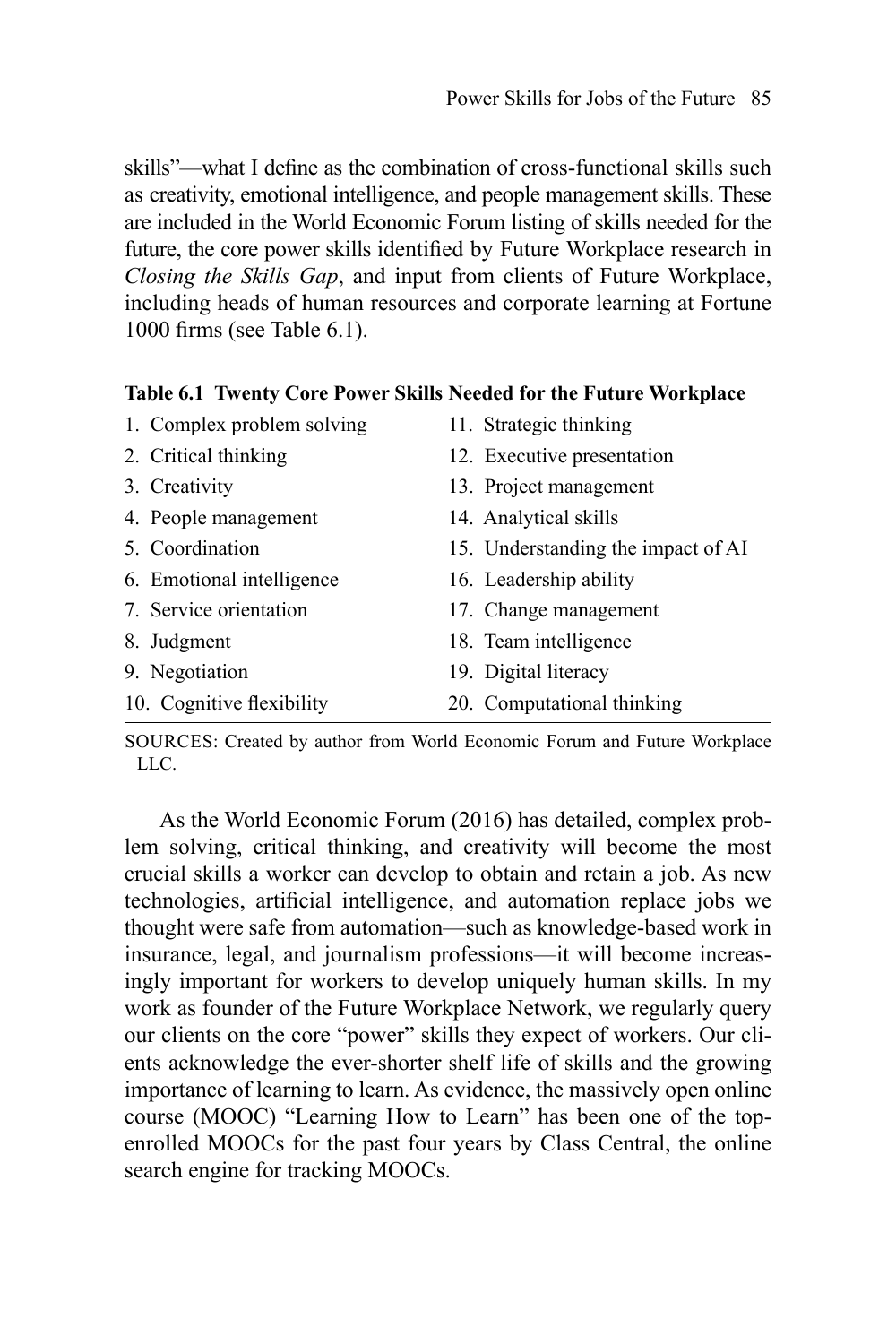skills"—what I define as the combination of cross-functional skills such as creativity, emotional intelligence, and people management skills. These are included in the World Economic Forum listing of skills needed for the future, the core power skills identified by Future Workplace research in *Closing the Skills Gap*, and input from clients of Future Workplace, including heads of human resources and corporate learning at Fortune 1000 firms (see Table 6.1).

|  | 1. Complex problem solving | 11. Strategic thinking             |  |
|--|----------------------------|------------------------------------|--|
|  | 2. Critical thinking       | 12. Executive presentation         |  |
|  | 3. Creativity              | 13. Project management             |  |
|  | 4. People management       | 14. Analytical skills              |  |
|  | 5. Coordination            | 15. Understanding the impact of AI |  |
|  | 6. Emotional intelligence  | 16. Leadership ability             |  |
|  | 7. Service orientation     | 17. Change management              |  |
|  | 8. Judgment                | 18. Team intelligence              |  |
|  | 9. Negotiation             | 19. Digital literacy               |  |
|  | 10. Cognitive flexibility  | 20. Computational thinking         |  |
|  |                            |                                    |  |

**Table 6.1 Twenty Core Power Skills Needed for the Future Workplace**

SOURCES: Created by author from World Economic Forum and Future Workplace LLC.

As the World Economic Forum (2016) has detailed, complex problem solving, critical thinking, and creativity will become the most crucial skills a worker can develop to obtain and retain a job. As new technologies, artificial intelligence, and automation replace jobs we thought were safe from automation—such as knowledge-based work in insurance, legal, and journalism professions—it will become increasingly important for workers to develop uniquely human skills. In my work as founder of the Future Workplace Network, we regularly query our clients on the core "power" skills they expect of workers. Our clients acknowledge the ever-shorter shelf life of skills and the growing importance of learning to learn. As evidence, the massively open online course (MOOC) "Learning How to Learn" has been one of the topenrolled MOOCs for the past four years by Class Central, the online search engine for tracking MOOCs.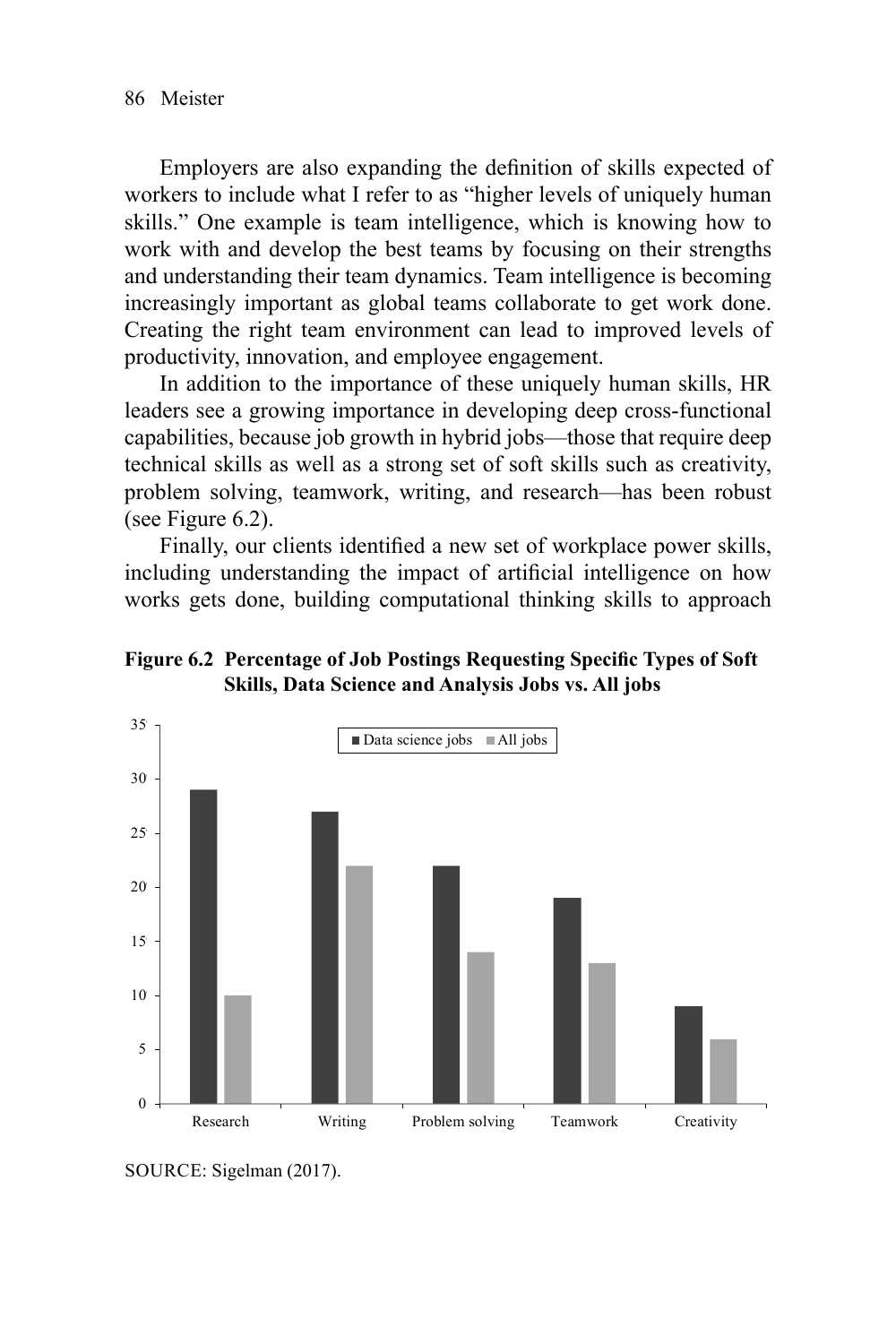Employers are also expanding the definition of skills expected of workers to include what I refer to as "higher levels of uniquely human skills." One example is team intelligence, which is knowing how to work with and develop the best teams by focusing on their strengths and understanding their team dynamics. Team intelligence is becoming increasingly important as global teams collaborate to get work done. Creating the right team environment can lead to improved levels of productivity, innovation, and employee engagement.

In addition to the importance of these uniquely human skills, HR leaders see a growing importance in developing deep cross-functional capabilities, because job growth in hybrid jobs—those that require deep technical skills as well as a strong set of soft skills such as creativity, problem solving, teamwork, writing, and research—has been robust (see Figure 6.2).

Finally, our clients identified a new set of workplace power skills, including understanding the impact of artificial intelligence on how works gets done, building computational thinking skills to approach

**Figure 6.2 Percentage of Job Postings Requesting Specific Types of Soft Skills, Data Science and Analysis Jobs vs. All jobs**



SOURCE: Sigelman (2017).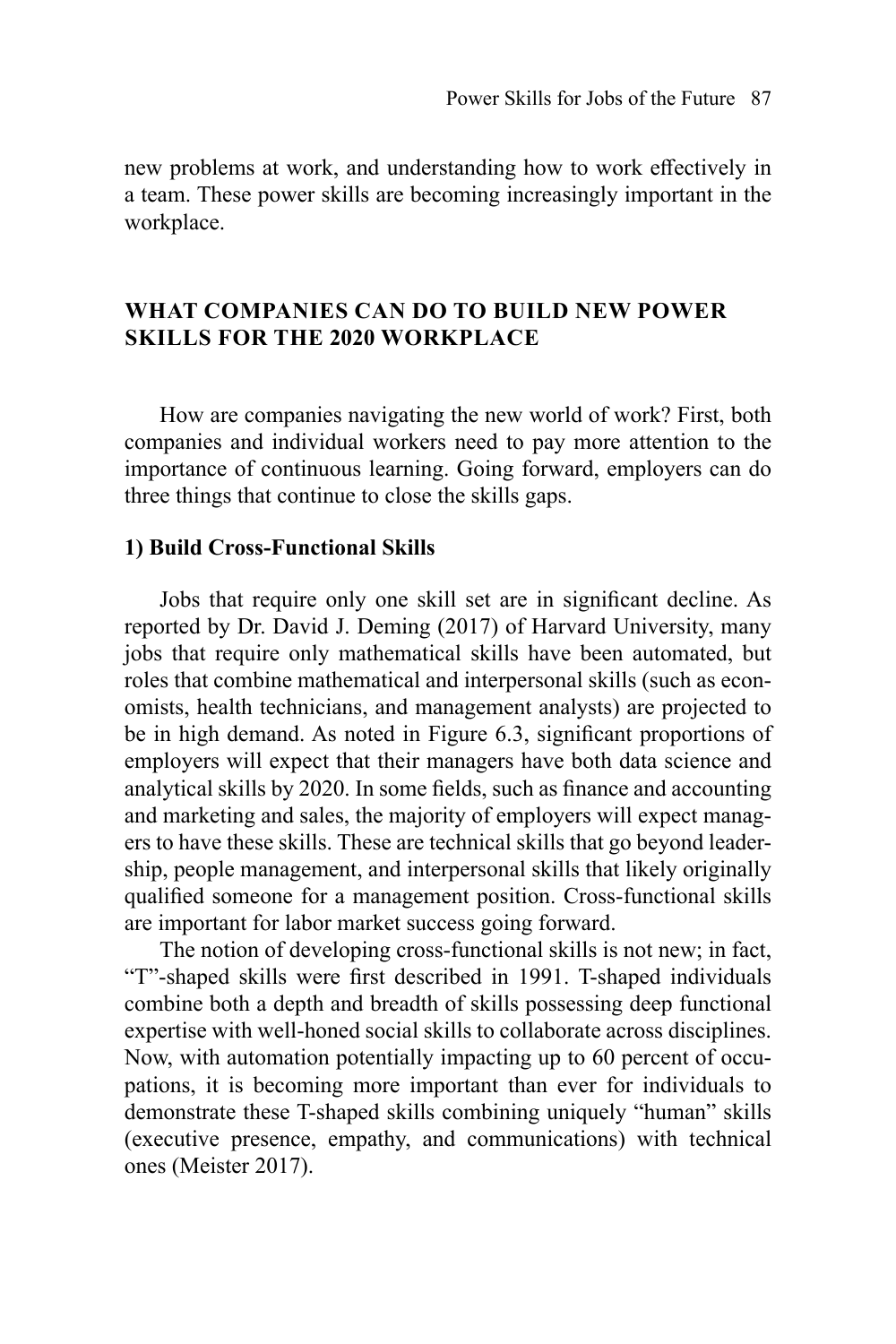new problems at work, and understanding how to work effectively in a team. These power skills are becoming increasingly important in the workplace.

## **WHAT COMPANIES CAN DO TO BUILD NEW POWER SKILLS FOR THE 2020 WORKPLACE**

How are companies navigating the new world of work? First, both companies and individual workers need to pay more attention to the importance of continuous learning. Going forward, employers can do three things that continue to close the skills gaps.

#### **1) Build Cross-Functional Skills**

Jobs that require only one skill set are in significant decline. As reported by Dr. David J. Deming (2017) of Harvard University, many jobs that require only mathematical skills have been automated, but roles that combine mathematical and interpersonal skills (such as economists, health technicians, and management analysts) are projected to be in high demand. As noted in Figure 6.3, significant proportions of employers will expect that their managers have both data science and analytical skills by 2020. In some fields, such as finance and accounting and marketing and sales, the majority of employers will expect managers to have these skills. These are technical skills that go beyond leadership, people management, and interpersonal skills that likely originally qualified someone for a management position. Cross-functional skills are important for labor market success going forward.

The notion of developing cross-functional skills is not new; in fact, "T"-shaped skills were first described in 1991. T-shaped individuals combine both a depth and breadth of skills possessing deep functional expertise with well-honed social skills to collaborate across disciplines. Now, with automation potentially impacting up to 60 percent of occupations, it is becoming more important than ever for individuals to demonstrate these T-shaped skills combining uniquely "human" skills (executive presence, empathy, and communications) with technical ones (Meister 2017).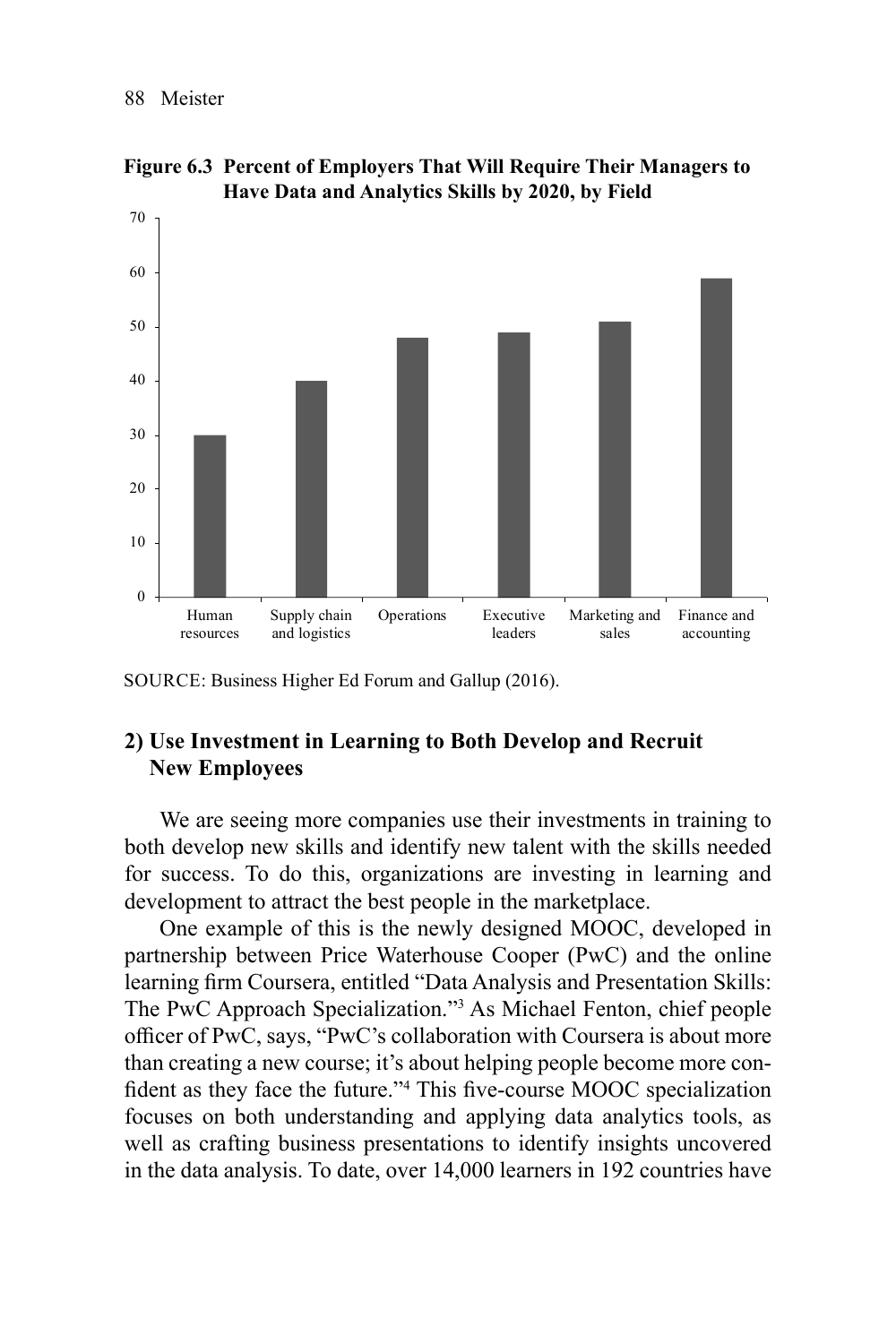

**Figure 6.3 Percent of Employers That Will Require Their Managers to Have Data and Analytics Skills by 2020, by Field**

# **2) Use Investment in Learning to Both Develop and Recruit New Employees**

We are seeing more companies use their investments in training to both develop new skills and identify new talent with the skills needed for success. To do this, organizations are investing in learning and development to attract the best people in the marketplace.

One example of this is the newly designed MOOC, developed in partnership between [Price Waterhouse C](https://www.pwc.com/)ooper (PwC) and the online learning firm [Coursera](https://www.coursera.org/), entitled "Data Analysis and Presentation Skills: The PwC Approach Specialization."3 As Michael Fenton, chief people officer of PwC, says, "PwC's [collaboration with Coursera](https://www.coursera.org/specializations/pwc-analytics) is about more than creating a new course; it's about helping people become more confident as they face the future."<sup>4</sup> This five-course MOOC specialization focuses on both understanding and applying data analytics tools, as well as crafting business presentations to identify insights uncovered in the data analysis. To date, over 14,000 learners in 192 countries have

SOURCE: Business Higher Ed Forum and Gallup (2016).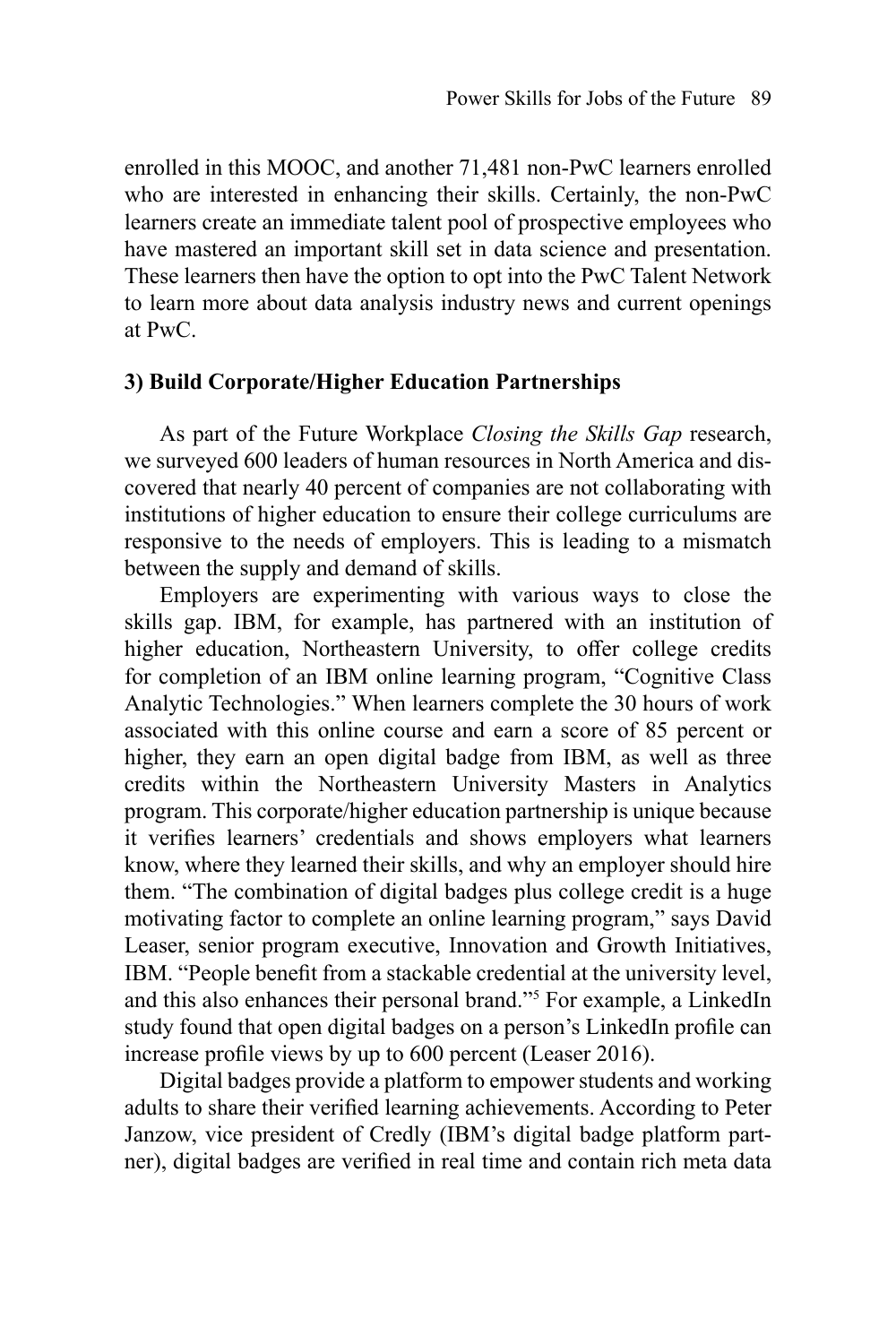enrolled in this MOOC, and another 71,481 non-PwC learners enrolled who are interested in enhancing their skills. Certainly, the non-PwC learners create an immediate talent pool of prospective employees who have mastered an important skill set in data science and presentation. These learners then have the option to opt into the [PwC Talent Network](https://www.pwc.com/us/en/careers/experienced/why-pwc/flexibility-talent-network.html) to learn more about data analysis industry news and current openings at PwC.

## **3) Build Corporate/Higher Education Partnerships**

As part of the Future Workplace *Closing the Skills Gap* research, we surveyed 600 leaders of human resources in North America and discovered that nearly 40 percent of companies are not collaborating with institutions of higher education to ensure their college curriculums are responsive to the needs of employers. This is leading to a mismatch between the supply and demand of skills.

Employers are experimenting with various ways to close the skills gap. IBM, for example, has partnered with an institution of higher education, Northeastern University, to offer college credits for completion of an IBM online learning program, "Cognitive Class Analytic Technologies." When learners complete the 30 hours of work associated with this online course and earn a score of 85 percent or higher, they earn an open digital badge from IBM, as well as three credits within the Northeastern University Masters in Analytics program. This corporate/higher education partnership is unique because it verifies learners' credentials and shows employers what learners know, where they learned their skills, and why an employer should hire them. "The combination of digital badges plus college credit is a huge motivating factor to complete an online learning program," says David Leaser, senior program executive, Innovation and Growth Initiatives, IBM. "People benefit from a stackable credential at the university level, and this also enhances their personal brand."5 For example, a LinkedIn study found that open digital badges on a person's LinkedIn profile can increase profile views by up to 600 percent (Leaser 2016).

Digital badges provide a platform to empower students and working adults to share their verified learning achievements. According to Peter Janzow, vice president of Credly (IBM's digital badge platform partner), digital badges are verified in real time and contain rich meta data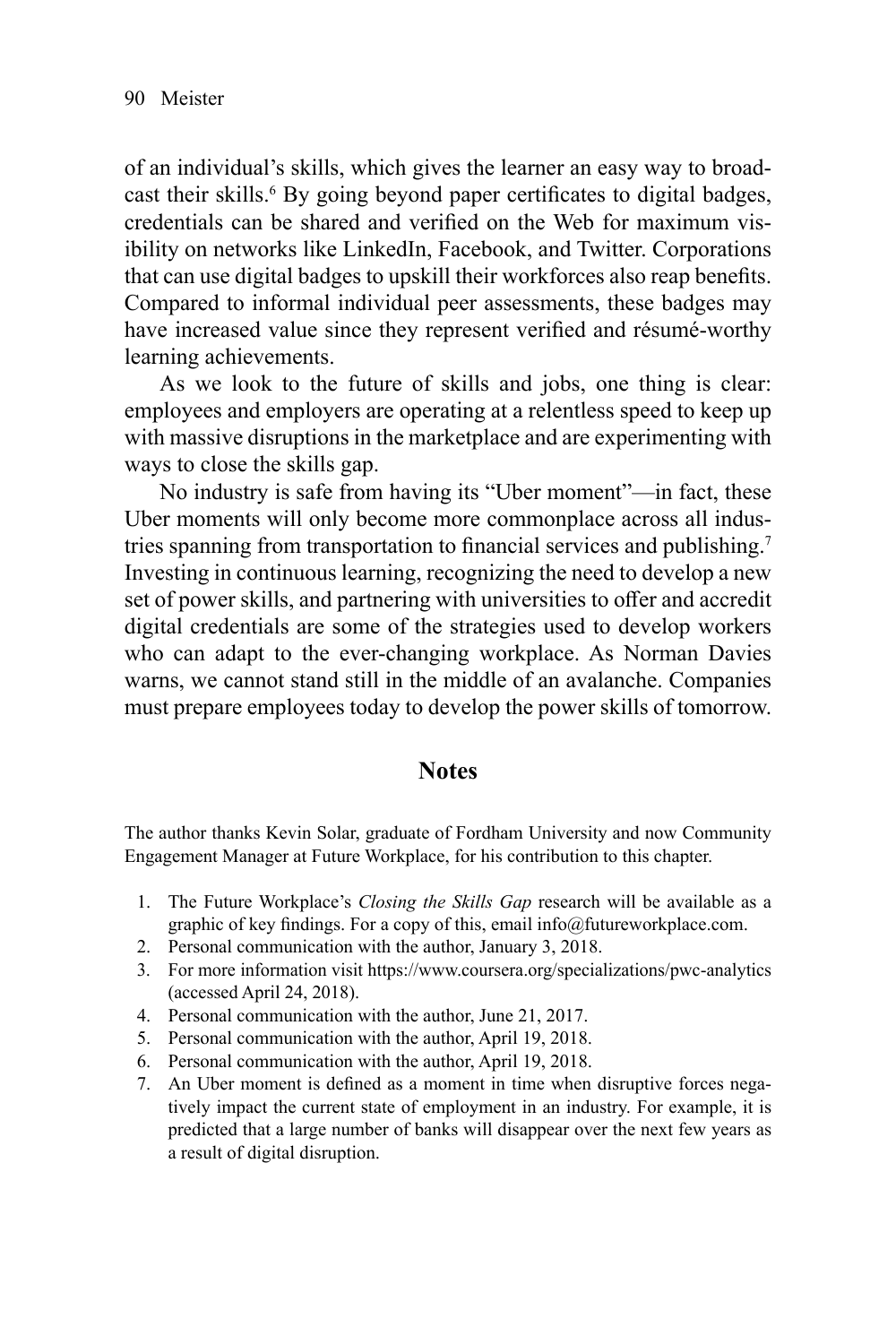of an individual's skills, which gives the learner an easy way to broadcast their skills.<sup>6</sup> By going beyond paper certificates to digital badges, credentials can be shared and verified on the Web for maximum visibility on networks like LinkedIn, Facebook, and Twitter. Corporations that can use digital badges to upskill their workforces also reap benefits. Compared to informal individual peer assessments, these badges may have increased value since they represent verified and résumé-worthy learning achievements.

As we look to the future of skills and jobs, one thing is clear: employees and employers are operating at a relentless speed to keep up with massive disruptions in the marketplace and are experimenting with ways to close the skills gap.

No industry is safe from having its "Uber moment"—in fact, these Uber moments will only become more commonplace across all industries spanning from transportation to financial services and publishing.<sup>7</sup> Investing in continuous learning, recognizing the need to develop a new set of power skills, and partnering with universities to offer and accredit digital credentials are some of the strategies used to develop workers who can adapt to the ever-changing workplace. As Norman Davies warns, we cannot stand still in the middle of an avalanche. Companies must prepare employees today to develop the power skills of tomorrow.

## **Notes**

The author thanks Kevin Solar, graduate of Fordham University and now Community Engagement Manager at Future Workplace, for his contribution to this chapter.

- 1. The Future Workplace's *Closing the Skills Gap* research will be available as a graphic of key findings. For a copy of this, email [info@futureworkplace.com](mailto:info@futureworkplace.com).
- 2. Personal communication with the author, January 3, 2018.
- 3. For more information visit<https://www.coursera.org/specializations/pwc-analytics> (accessed April 24, 2018).
- 4. Personal communication with the author, June 21, 2017.
- 5. Personal communication with the author, April 19, 2018.
- 6. Personal communication with the author, April 19, 2018.
- 7. An Uber moment is defined as a moment in time when disruptive forces negatively impact the current state of employment in an industry. For example, it is predicted that a large number of banks will disappear over the next few years as a result of digital disruption.